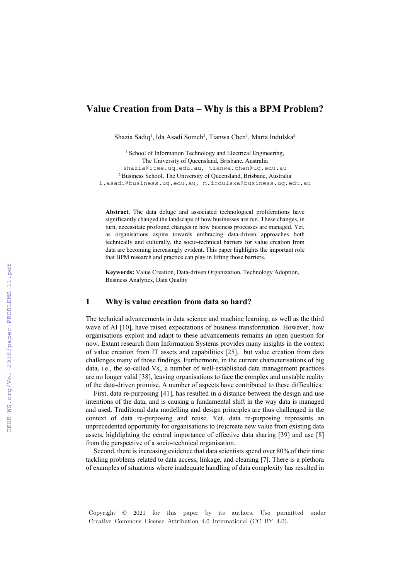# **Value Creation from Data – Why is this a BPM Problem?**

Shazia Sadiq<sup>1</sup>, Ida Asadi Someh<sup>2</sup>, Tianwa Chen<sup>1</sup>, Marta Indulska<sup>2</sup>

<sup>1</sup> School of Information Technology and Electrical Engineering, The University of Queensland, Brisbane, Australia shazia@itee.uq.edu.au, tianwa.chen@uq.edu.au 2 Business School, The University of Queensland, Brisbane, Australia i.asadi@business.uq.edu.au, m.indulska@business.uq.edu.au

**Abstract.** The data deluge and associated technological proliferations have significantly changed the landscape of how businesses are run. These changes, in turn, necessitate profound changes in how business processes are managed. Yet, as organisations aspire towards embracing data-driven approaches both technically and culturally, the socio-technical barriers for value creation from data are becoming increasingly evident. This paper highlights the important role that BPM research and practice can play in lifting those barriers.

**Keywords:** Value Creation, Data-driven Organization, Technology Adoption, Business Analytics, Data Quality

## **1 Why is value creation from data so hard?**

The technical advancements in data science and machine learning, as well as the third wave of AI [10], have raised expectations of business transformation. However, how organisations exploit and adapt to these advancements remains an open question for now. Extant research from Information Systems provides many insights in the context of value creation from IT assets and capabilities [25], but value creation from data challenges many of those findings. Furthermore, in the current characterisations of big data, i.e., the so-called Vs,, a number of well-established data management practices are no longer valid [38], leaving organisations to face the complex and unstable reality of the data-driven promise. A number of aspects have contributed to these difficulties:

First, data re-purposing [41], has resulted in a distance between the design and use intentions of the data, and is causing a fundamental shift in the way data is managed and used. Traditional data modelling and design principles are thus challenged in the context of data re-purposing and reuse. Yet, data re-purposing represents an unprecedented opportunity for organisations to (re)create new value from existing data assets, highlighting the central importance of effective data sharing [39] and use [8] from the perspective of a socio-technical organisation.

Second, there is increasing evidence that data scientists spend over 80% of their time tackling problems related to data access, linkage, and cleaning [7]. There is a plethora of examples of situations where inadequate handling of data complexity has resulted in

Copyright © 2021 for this paper by its authors. Use permitted under Creative Commons License Attribution 4.0 International (CC BY 4.0).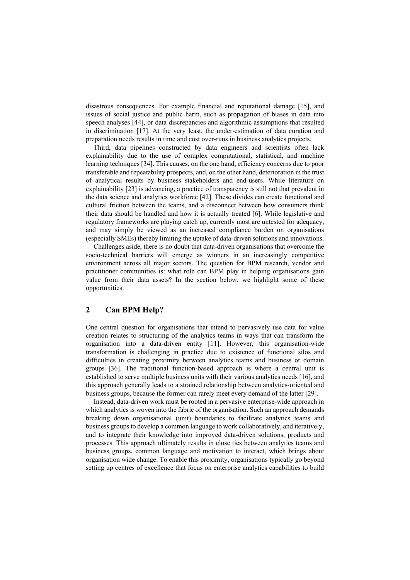disastrous consequences. For example financial and reputational damage [15], and issues of social justice and public harm, such as propagation of biases in data into speech analyses [44], or data discrepancies and algorithmic assumptions that resulted in discrimination [17]. At the very least, the under-estimation of data curation and preparation needs results in time and cost over-runs in business analytics projects.

Third, data pipelines constructed by data engineers and scientists often lack explainability due to the use of complex computational, statistical, and machine learning techniques [34]. This causes, on the one hand, efficiency concerns due to poor transferable and repeatability prospects, and, on the other hand, deterioration in the trust of analytical results by business stakeholders and end-users. While literature on explainability [23] is advancing, a practice of transparency is still not that prevalent in the data science and analytics workforce [42]. These divides can create functional and cultural friction between the teams, and a disconnect between how consumers think their data should be handled and how it is actually treated [6]. While legislative and regulatory frameworks are playing catch up, currently most are untested for adequacy, and may simply be viewed as an increased compliance burden on organisations (especially SMEs) thereby limiting the uptake of data-driven solutions and innovations.

Challenges aside, there is no doubt that data-driven organisations that overcome the socio-technical barriers will emerge as winners in an increasingly competitive environment across all major sectors. The question for BPM research, vendor and practitioner communities is: what role can BPM play in helping organisations gain value from their data assets? In the section below, we highlight some of these opportunities.

## **2 Can BPM Help?**

One central question for organisations that intend to pervasively use data for value creation relates to structuring of the analytics teams in ways that can transform the organisation into a data-driven entity [11]. However, this organisation-wide transformation is challenging in practice due to existence of functional silos and difficulties in creating proximity between analytics teams and business or domain groups [36]. The traditional function-based approach is where a central unit is established to serve multiple business units with their various analytics needs [16], and this approach generally leads to a strained relationship between analytics-oriented and business groups, because the former can rarely meet every demand of the latter [29].

Instead, data-driven work must be rooted in a pervasive enterprise-wide approach in which analytics is woven into the fabric of the organisation. Such an approach demands breaking down organisational (unit) boundaries to facilitate analytics teams and business groups to develop a common language to work collaboratively, and iteratively, and to integrate their knowledge into improved data-driven solutions, products and processes. This approach ultimately results in close ties between analytics teams and business groups, common language and motivation to interact, which brings about organisation wide change. To enable this proximity, organisations typically go beyond setting up centres of excellence that focus on enterprise analytics capabilities to build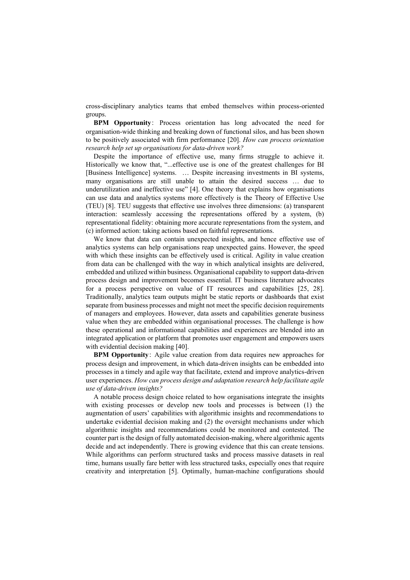cross-disciplinary analytics teams that embed themselves within process-oriented groups.

**BPM Opportunity**: Process orientation has long advocated the need for organisation-wide thinking and breaking down of functional silos, and has been shown to be positively associated with firm performance [20]. *How can process orientation research help set up organisations for data-driven work?* 

Despite the importance of effective use, many firms struggle to achieve it. Historically we know that, "...effective use is one of the greatest challenges for BI [Business Intelligence] systems. … Despite increasing investments in BI systems, many organisations are still unable to attain the desired success … due to underutilization and ineffective use" [4]. One theory that explains how organisations can use data and analytics systems more effectively is the Theory of Effective Use (TEU) [8]. TEU suggests that effective use involves three dimensions: (a) transparent interaction: seamlessly accessing the representations offered by a system, (b) representational fidelity: obtaining more accurate representations from the system, and (c) informed action: taking actions based on faithful representations.

We know that data can contain unexpected insights, and hence effective use of analytics systems can help organisations reap unexpected gains. However, the speed with which these insights can be effectively used is critical. Agility in value creation from data can be challenged with the way in which analytical insights are delivered, embedded and utilized within business. Organisational capability to support data-driven process design and improvement becomes essential. IT business literature advocates for a process perspective on value of IT resources and capabilities [25, 28]. Traditionally, analytics team outputs might be static reports or dashboards that exist separate from business processes and might not meet the specific decision requirements of managers and employees. However, data assets and capabilities generate business value when they are embedded within organisational processes. The challenge is how these operational and informational capabilities and experiences are blended into an integrated application or platform that promotes user engagement and empowers users with evidential decision making [40].

**BPM Opportunity**: Agile value creation from data requires new approaches for process design and improvement, in which data-driven insights can be embedded into processes in a timely and agile way that facilitate, extend and improve analytics-driven user experiences. *How can process design and adaptation research help facilitate agile use of data-driven insights?*

A notable process design choice related to how organisations integrate the insights with existing processes or develop new tools and processes is between (1) the augmentation of users' capabilities with algorithmic insights and recommendations to undertake evidential decision making and (2) the oversight mechanisms under which algorithmic insights and recommendations could be monitored and contested. The counter part is the design of fully automated decision-making, where algorithmic agents decide and act independently. There is growing evidence that this can create tensions. While algorithms can perform structured tasks and process massive datasets in real time, humans usually fare better with less structured tasks, especially ones that require creativity and interpretation [5]. Optimally, human-machine configurations should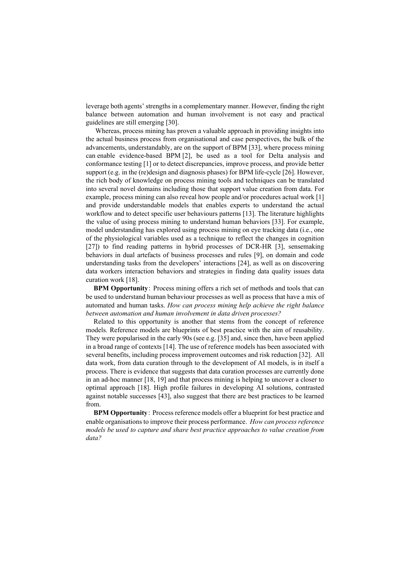leverage both agents' strengths in a complementary manner. However, finding the right balance between automation and human involvement is not easy and practical guidelines are still emerging [30].

Whereas, process mining has proven a valuable approach in providing insights into the actual business process from organisational and case perspectives, the bulk of the advancements, understandably, are on the support of BPM [33], where process mining can enable evidence-based BPM [2], be used as a tool for Delta analysis and conformance testing [1] or to detect discrepancies, improve process, and provide better support (e.g. in the (re)design and diagnosis phases) for BPM life-cycle [26]. However, the rich body of knowledge on process mining tools and techniques can be translated into several novel domains including those that support value creation from data. For example, process mining can also reveal how people and/or procedures actual work [1] and provide understandable models that enables experts to understand the actual workflow and to detect specific user behaviours patterns [13]. The literature highlights the value of using process mining to understand human behaviors [33]. For example, model understanding has explored using process mining on eye tracking data (i.e., one of the physiological variables used as a technique to reflect the changes in cognition [27]) to find reading patterns in hybrid processes of DCR-HR [3], sensemaking behaviors in dual artefacts of business processes and rules [9], on domain and code understanding tasks from the developers' interactions [24], as well as on discovering data workers interaction behaviors and strategies in finding data quality issues data curation work [18].

**BPM Opportunity**: Process mining offers a rich set of methods and tools that can be used to understand human behaviour processes as well as process that have a mix of automated and human tasks. *How can process mining help achieve the right balance between automation and human involvement in data driven processes?*

Related to this opportunity is another that stems from the concept of reference models. Reference models are blueprints of best practice with the aim of reusability. They were popularised in the early 90s (see e.g. [35] and, since then, have been applied in a broad range of contexts [14]. The use of reference models has been associated with several benefits, including process improvement outcomes and risk reduction [32]. All data work, from data curation through to the development of AI models, is in itself a process. There is evidence that suggests that data curation processes are currently done in an ad-hoc manner [18, 19] and that process mining is helping to uncover a closer to optimal approach [18]. High profile failures in developing AI solutions, contrasted against notable successes [43], also suggest that there are best practices to be learned from.

**BPM Opportunity**: Process reference models offer a blueprint for best practice and enable organisations to improve their process performance. *How can process reference models be used to capture and share best practice approaches to value creation from data?*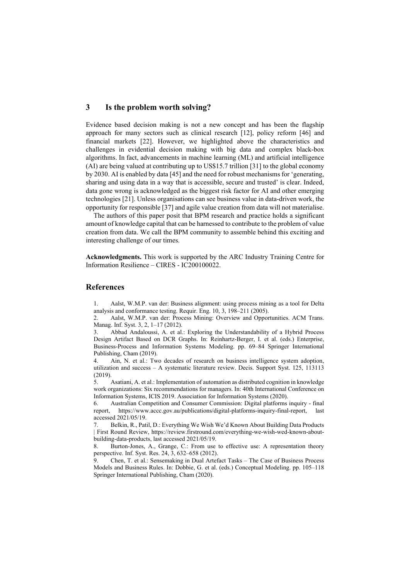## **3 Is the problem worth solving?**

Evidence based decision making is not a new concept and has been the flagship approach for many sectors such as clinical research [12], policy reform [46] and financial markets [22]. However, we highlighted above the characteristics and challenges in evidential decision making with big data and complex black-box algorithms. In fact, advancements in machine learning (ML) and artificial intelligence (AI) are being valued at contributing up to US\$15.7 trillion [31] to the global economy by 2030. AI is enabled by data [45] and the need for robust mechanisms for 'generating, sharing and using data in a way that is accessible, secure and trusted' is clear. Indeed, data gone wrong is acknowledged as the biggest risk factor for AI and other emerging technologies [21]. Unless organisations can see business value in data-driven work, the opportunity for responsible [37] and agile value creation from data will not materialise.

The authors of this paper posit that BPM research and practice holds a significant amount of knowledge capital that can be harnessed to contribute to the problem of value creation from data. We call the BPM community to assemble behind this exciting and interesting challenge of our times.

**Acknowledgments.** This work is supported by the ARC Industry Training Centre for Information Resilience – CIRES - IC200100022.

#### **References**

1. Aalst, W.M.P. van der: Business alignment: using process mining as a tool for Delta analysis and conformance testing. Requir. Eng. 10, 3, 198–211 (2005).

2. Aalst, W.M.P. van der: Process Mining: Overview and Opportunities. ACM Trans. Manag. Inf. Syst. 3, 2, 1–17 (2012).

3. Abbad Andaloussi, A. et al.: Exploring the Understandability of a Hybrid Process Design Artifact Based on DCR Graphs. In: Reinhartz-Berger, I. et al. (eds.) Enterprise, Business-Process and Information Systems Modeling. pp. 69–84 Springer International Publishing, Cham (2019).

4. Ain, N. et al.: Two decades of research on business intelligence system adoption, utilization and success – A systematic literature review. Decis. Support Syst. 125, 113113 (2019).

5. Asatiani, A. et al.: Implementation of automation as distributed cognition in knowledge work organizations: Six recommendations for managers. In: 40th International Conference on Information Systems, ICIS 2019. Association for Information Systems (2020).

6. Australian Competition and Consumer Commission: Digital platforms inquiry - final report, https://www.accc.gov.au/publications/digital-platforms-inquiry-final-report, last accessed 2021/05/19.

Belkin, R., Patil, D.: Everything We Wish We'd Known About Building Data Products | First Round Review, https://review.firstround.com/everything-we-wish-wed-known-aboutbuilding-data-products, last accessed 2021/05/19.

8. Burton-Jones, A., Grange, C.: From use to effective use: A representation theory perspective. Inf. Syst. Res. 24, 3, 632–658 (2012).

9. Chen, T. et al.: Sensemaking in Dual Artefact Tasks – The Case of Business Process Models and Business Rules. In: Dobbie, G. et al. (eds.) Conceptual Modeling. pp. 105–118 Springer International Publishing, Cham (2020).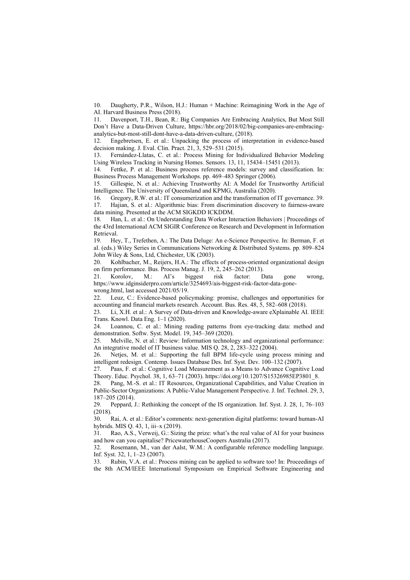10. Daugherty, P.R., Wilson, H.J.: Human + Machine: Reimagining Work in the Age of AI. Harvard Business Press (2018).

11. Davenport, T.H., Bean, R.: Big Companies Are Embracing Analytics, But Most Still Don't Have a Data-Driven Culture, https://hbr.org/2018/02/big-companies-are-embracinganalytics-but-most-still-dont-have-a-data-driven-culture, (2018).

12. Engebretsen, E. et al.: Unpacking the process of interpretation in evidence‐based decision making. J. Eval. Clin. Pract. 21, 3, 529–531 (2015).

13. Fernández-Llatas, C. et al.: Process Mining for Individualized Behavior Modeling Using Wireless Tracking in Nursing Homes. Sensors. 13, 11, 15434–15451 (2013).

14. Fettke, P. et al.: Business process reference models: survey and classification. In: Business Process Management Workshops. pp. 469–483 Springer (2006).

15. Gillespie, N. et al.: Achieving Trustworthy AI: A Model for Trustworthy Artificial Intelligence. The University of Queensland and KPMG, Australia (2020).

16. Gregory, R.W. et al.: IT consumerization and the transformation of IT governance. 39. 17. Hajian, S. et al.: Algorithmic bias: From discrimination discovery to fairness-aware data mining. Presented at the ACM SIGKDD ICKDDM.

18. Han, L. et al.: On Understanding Data Worker Interaction Behaviors | Proceedings of the 43rd International ACM SIGIR Conference on Research and Development in Information Retrieval.

19. Hey, T., Trefethen, A.: The Data Deluge: An e-Science Perspective. In: Berman, F. et al. (eds.) Wiley Series in Communications Networking & Distributed Systems. pp. 809–824 John Wiley & Sons, Ltd, Chichester, UK (2003).

20. Kohlbacher, M., Reijers, H.A.: The effects of process-oriented organizational design on firm performance. Bus. Process Manag. J. 19, 2, 245–262 (2013).

21. Korolov, M.: AI's biggest risk factor: Data gone wrong, https://www.idginsiderpro.com/article/3254693/ais-biggest-risk-factor-data-gonewrong.html, last accessed 2021/05/19.

22. Leuz, C.: Evidence-based policymaking: promise, challenges and opportunities for accounting and financial markets research. Account. Bus. Res. 48, 5, 582–608 (2018).

23. Li, X.H. et al.: A Survey of Data-driven and Knowledge-aware eXplainable AI. IEEE Trans. Knowl. Data Eng. 1–1 (2020).

Loannou, C. et al.: Mining reading patterns from eye-tracking data: method and demonstration. Softw. Syst. Model. 19, 345–369 (2020).

25. Melville, N. et al.: Review: Information technology and organizational performance: An integrative model of IT business value. MIS Q. 28, 2, 283–322 (2004).

26. Netjes, M. et al.: Supporting the full BPM life-cycle using process mining and intelligent redesign. Contemp. Issues Database Des. Inf. Syst. Dev. 100–132 (2007).

27. Paas, F. et al.: Cognitive Load Measurement as a Means to Advance Cognitive Load Theory. Educ. Psychol. 38, 1, 63–71 (2003). https://doi.org/10.1207/S15326985EP3801\_8.

28. Pang, M.-S. et al.: IT Resources, Organizational Capabilities, and Value Creation in Public-Sector Organizations: A Public-Value Management Perspective. J. Inf. Technol. 29, 3, 187–205 (2014).

29. Peppard, J.: Rethinking the concept of the IS organization. Inf. Syst. J. 28, 1, 76–103 (2018).

30. Rai, A. et al.: Editor's comments: next-generation digital platforms: toward human-AI hybrids. MIS Q. 43, 1, iii–x (2019).

31. Rao, A.S., Verweij, G.: Sizing the prize: what's the real value of AI for your business and how can you capitalise? PricewaterhouseCoopers Australia (2017).

32. Rosemann, M., van der Aalst, W.M.: A configurable reference modelling language. Inf. Syst. 32, 1, 1–23 (2007).

33. Rubin, V.A. et al.: Process mining can be applied to software too! In: Proceedings of the 8th ACM/IEEE International Symposium on Empirical Software Engineering and